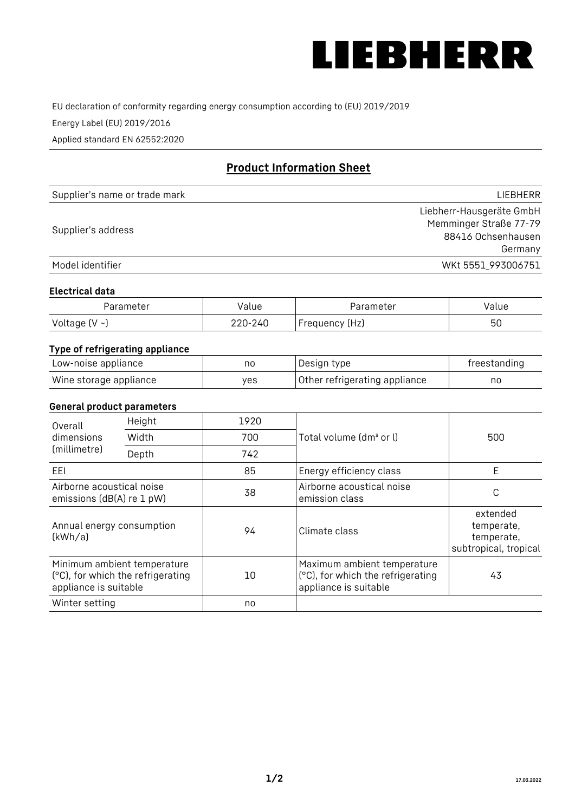

EU declaration of conformity regarding energy consumption according to (EU) 2019/2019

Energy Label (EU) 2019/2016

Applied standard EN 62552:2020

# **Product Information Sheet**

| Supplier's name or trade mark | LIEBHERR                 |
|-------------------------------|--------------------------|
|                               | Liebherr-Hausgeräte GmbH |
| Supplier's address            | Memminger Straße 77-79   |
|                               | 88416 Ochsenhausen       |
|                               | Germany                  |
| Model identifier              | WKt 5551_993006751       |

#### **Electrical data**

| Parameter     | Value   | Parameter      | Value |
|---------------|---------|----------------|-------|
| Voltage (V ~) | 220-240 | Frequency (Hz) | 50    |

## **Type of refrigerating appliance**

| Low-noise appliance    | nc  | Design type                   | freestanding |
|------------------------|-----|-------------------------------|--------------|
| Wine storage appliance | ves | Other refrigerating appliance | no           |

#### **General product parameters**

| Height<br>Overall                                      |                                                                  | 1920 |                                                                                           |                                                               |
|--------------------------------------------------------|------------------------------------------------------------------|------|-------------------------------------------------------------------------------------------|---------------------------------------------------------------|
| dimensions<br>(millimetre)                             | Width                                                            | 700  | Total volume (dm <sup>3</sup> or l)                                                       | 500                                                           |
|                                                        | Depth                                                            | 742  |                                                                                           |                                                               |
| EEL                                                    |                                                                  | 85   | Energy efficiency class                                                                   | E                                                             |
| Airborne acoustical noise<br>emissions (dB(A) re 1 pW) |                                                                  | 38   | Airborne acoustical noise<br>emission class                                               | C                                                             |
| Annual energy consumption<br>(kWh/a)                   |                                                                  | 94   | Climate class                                                                             | extended<br>temperate,<br>temperate,<br>subtropical, tropical |
| appliance is suitable                                  | Minimum ambient temperature<br>(°C), for which the refrigerating | 10   | Maximum ambient temperature<br>(°C), for which the refrigerating<br>appliance is suitable | 43                                                            |
| Winter setting                                         |                                                                  | no   |                                                                                           |                                                               |